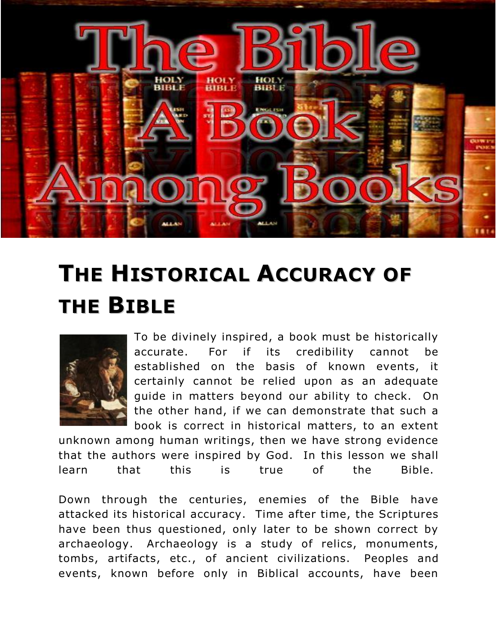

# **THE HISTORICAL ACCURACY OF THE BIBLE**



To be divinely inspired, a book must be historically accurate. For if its credibility cannot be established on the basis of known events, it certainly cannot be relied upon as an adequate guide in matters beyond our ability to check. On the other hand, if we can demonstrate that such a book is correct in historical matters, to an extent

unknown among human writings, then we have strong evidence that the authors were inspired by God. In this lesson we shall learn that this is true of the Bible.

Down through the centuries, enemies of the Bible have attacked its historical accuracy. Time after time, the Scriptures have been thus questioned, only later to be shown correct by archaeology. Archaeology is a study of relics, monuments, tombs, artifacts, etc., of ancient civilizations. Peoples and events, known before only in Biblical accounts, have been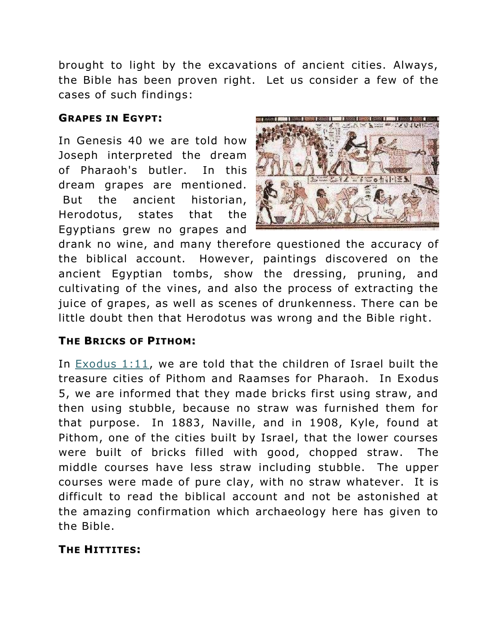brought to light by the excavations of ancient cities. Always, the Bible has been proven right. Let us consider a few of the cases of such findings:

### **GRAPES IN EGYPT:**

In Genesis 40 we are told how Joseph interpreted the dream of Pharaoh's butler. In this dream grapes are mentioned. But the ancient historian, Herodotus, states that the Egyptians grew no grapes and



drank no wine, and many therefore questioned the accuracy of the biblical account. However, paintings discovered on the ancient Egyptian tombs, show the dressing, pruning, and cultivating of the vines, and also the process of extracting the juice of grapes, as well as scenes of drunkenness. There can be little doubt then that Herodotus was wrong and the Bible right.

## **THE BRICKS OF PITHOM:**

In [Exodus 1:11,](http://biblia.com/bible/nkjv/Exodus%201.11) we are told that the children of Israel built the treasure cities of Pithom and Raamses for Pharaoh. In Exodus 5, we are informed that they made bricks first using straw, and then using stubble, because no straw was furnished them for that purpose. In 1883, Naville, and in 1908, Kyle, found at Pithom, one of the cities built by Israel, that the lower courses were built of bricks filled with good, chopped straw. The middle courses have less straw including stubble. The upper courses were made of pure clay, with no straw whatever. It is difficult to read the biblical account and not be astonished at the amazing confirmation which archaeology here has given to the Bible.

## **THE HITTITES:**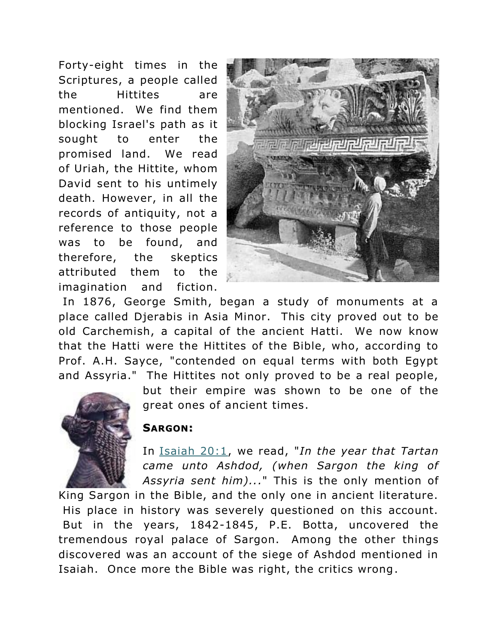Forty-eight times in the Scriptures, a people called the Hittites are mentioned. We find them blocking Israel's path as it sought to enter the promised land. We read of Uriah, the Hittite, whom David sent to his untimely death. However, in all the records of antiquity, not a reference to those people was to be found, and therefore, the skeptics attributed them to the imagination and fiction.



In 1876, George Smith, began a study of monuments at a place called Djerabis in Asia Minor. This city proved out to be old Carchemish, a capital of the ancient Hatti. We now know that the Hatti were the Hittites of the Bible, who, according to Prof. A.H. Sayce, "contended on equal terms with both Egypt and Assyria." The Hittites not only proved to be a real people,



but their empire was shown to be one of the great ones of ancient times.

#### **SARGON:**

In [Isaiah 20:1,](http://biblia.com/bible/nkjv/Isaiah%2020.1) we read, "*In the year that Tartan came unto Ashdod, (when Sargon the king of Assyria sent him)...*" This is the only mention of

King Sargon in the Bible, and the only one in ancient literature. His place in history was severely questioned on this account. But in the years, 1842-1845, P.E. Botta, uncovered the tremendous royal palace of Sargon. Among the other things discovered was an account of the siege of Ashdod mentioned in Isaiah. Once more the Bible was right, the critics wrong.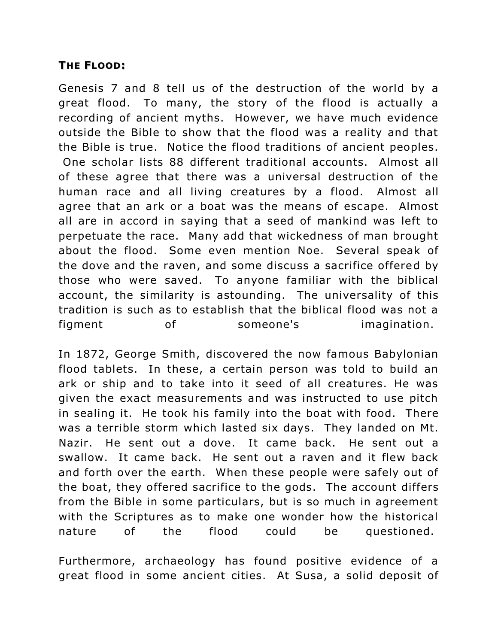#### **THE FLOOD:**

Genesis 7 and 8 tell us of the destruction of the world by a great flood. To many, the story of the flood is actually a recording of ancient myths. However, we have much evidence outside the Bible to show that the flood was a reality and that the Bible is true. Notice the flood traditions of ancient peoples. One scholar lists 88 different traditional accounts. Almost all of these agree that there was a universal destruction of the human race and all living creatures by a flood. Almost all agree that an ark or a boat was the means of escape. Almost all are in accord in saying that a seed of mankind was left to perpetuate the race. Many add that wickedness of man brought about the flood. Some even mention Noe. Several speak of the dove and the raven, and some discuss a sacrifice offered by those who were saved. To anyone familiar with the biblical account, the similarity is astounding. The universality of this tradition is such as to establish that the biblical flood was not a figment of someone's imagination.

In 1872, George Smith, discovered the now famous Babylonian flood tablets. In these, a certain person was told to build an ark or ship and to take into it seed of all creatures. He was given the exact measurements and was instructed to use pitch in sealing it. He took his family into the boat with food. There was a terrible storm which lasted six days. They landed on Mt. Nazir. He sent out a dove. It came back. He sent out a swallow. It came back. He sent out a raven and it flew back and forth over the earth. When these people were safely out of the boat, they offered sacrifice to the gods. The account differs from the Bible in some particulars, but is so much in agreement with the Scriptures as to make one wonder how the historical nature of the flood could be questioned.

Furthermore, archaeology has found positive evidence of a great flood in some ancient cities. At Susa, a solid deposit of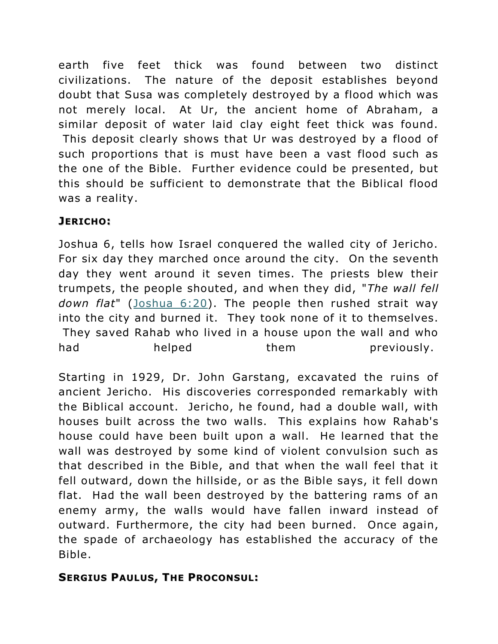earth five feet thick was found between two distinct civilizations. The nature of the deposit establishes beyond doubt that Susa was completely destroyed by a flood which was not merely local. At Ur, the ancient home of Abraham, a similar deposit of water laid clay eight feet thick was found. This deposit clearly shows that Ur was destroyed by a flood of such proportions that is must have been a vast flood such as the one of the Bible. Further evidence could be presented, but this should be sufficient to demonstrate that the Biblical flood was a reality.

## **JERICHO:**

Joshua 6, tells how Israel conquered the walled city of Jericho. For six day they marched once around the city. On the seventh day they went around it seven times. The priests blew their trumpets, the people shouted, and when they did, "*The wall fell down flat*" [\(Joshua 6:20\)](http://biblia.com/bible/nkjv/Joshua%206.20). The people then rushed strait way into the city and burned it. They took none of it to themselves. They saved Rahab who lived in a house upon the wall and who had helped them previously.

Starting in 1929, Dr. John Garstang, excavated the ruins of ancient Jericho. His discoveries corresponded remarkably with the Biblical account. Jericho, he found, had a double wall, with houses built across the two walls. This explains how Rahab's house could have been built upon a wall. He learned that the wall was destroyed by some kind of violent convulsion such as that described in the Bible, and that when the wall feel that it fell outward, down the hillside, or as the Bible says, it fell down flat. Had the wall been destroyed by the battering rams of an enemy army, the walls would have fallen inward instead of outward. Furthermore, the city had been burned. Once again, the spade of archaeology has established the accuracy of the Bible.

## **SERGIUS PAULUS, THE PROCONSUL:**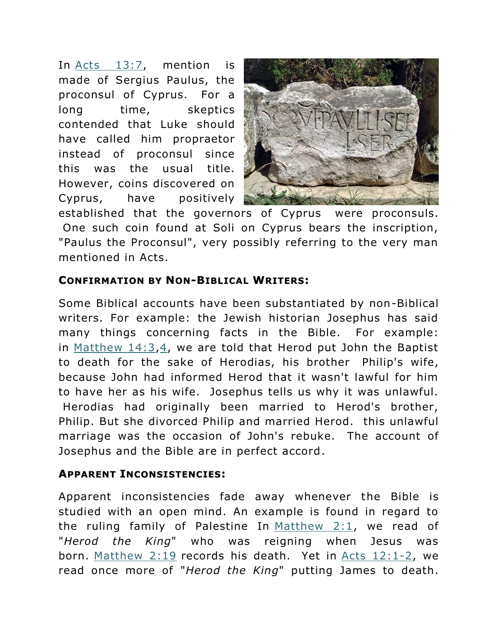In [Acts 13:7,](http://biblia.com/bible/nkjv/Acts%2013.7) mention is made of Sergius Paulus, the proconsul of Cyprus. For a long time, skeptics contended that Luke should have called him propraetor instead of proconsul since this was the usual title. However, coins discovered on Cyprus, have positively



established that the governors of Cyprus were proconsuls. One such coin found at Soli on Cyprus bears the inscription, "Paulus the Proconsul", very possibly referring to the very man mentioned in Acts.

#### **CONFIRMATION BY NON-BIBLICAL WRITERS:**

Some Biblical accounts have been substantiated by non-Biblical writers. For example: the Jewish historian Josephus has said many things concerning facts in the Bible. For example: in Matthew  $14:3,4$ , we are told that Herod put John the Baptist to death for the sake of Herodias, his brother Philip's wife, because John had informed Herod that it wasn't lawful for him to have her as his wife. Josephus tells us why it was unlawful. Herodias had originally been married to Herod's brother, Philip. But she divorced Philip and married Herod. this unlawful marriage was the occasion of John's rebuke. The account of Josephus and the Bible are in perfect accord.

#### **APPARENT INCONSISTENCIES:**

Apparent inconsistencies fade away whenever the Bible is studied with an open mind. An example is found in regard to the ruling family of Palestine In Matthew  $2:1$ , we read of "*Herod the King*" who was reigning when Jesus was born. [Matthew 2:19](http://biblia.com/bible/nkjv/Matthew%202.19) records his death. Yet in [Acts 12:1-2,](http://biblia.com/bible/nkjv/Acts%2012.1-2) we read once more of "*Herod the King*" putting James to death.